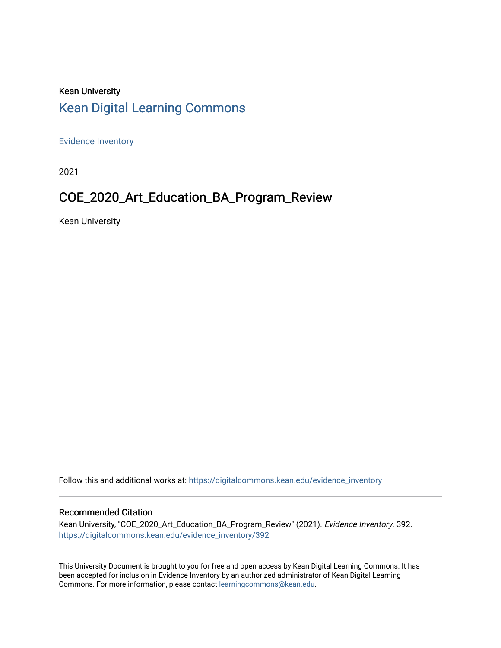# Kean University [Kean Digital Learning Commons](https://digitalcommons.kean.edu/)

[Evidence Inventory](https://digitalcommons.kean.edu/evidence_inventory) 

2021

# COE\_2020\_Art\_Education\_BA\_Program\_Review

Kean University

Follow this and additional works at: [https://digitalcommons.kean.edu/evidence\\_inventory](https://digitalcommons.kean.edu/evidence_inventory?utm_source=digitalcommons.kean.edu%2Fevidence_inventory%2F392&utm_medium=PDF&utm_campaign=PDFCoverPages)

#### Recommended Citation

Kean University, "COE\_2020\_Art\_Education\_BA\_Program\_Review" (2021). Evidence Inventory. 392. [https://digitalcommons.kean.edu/evidence\\_inventory/392](https://digitalcommons.kean.edu/evidence_inventory/392?utm_source=digitalcommons.kean.edu%2Fevidence_inventory%2F392&utm_medium=PDF&utm_campaign=PDFCoverPages)

This University Document is brought to you for free and open access by Kean Digital Learning Commons. It has been accepted for inclusion in Evidence Inventory by an authorized administrator of Kean Digital Learning Commons. For more information, please contact [learningcommons@kean.edu.](mailto:learningcommons@kean.edu)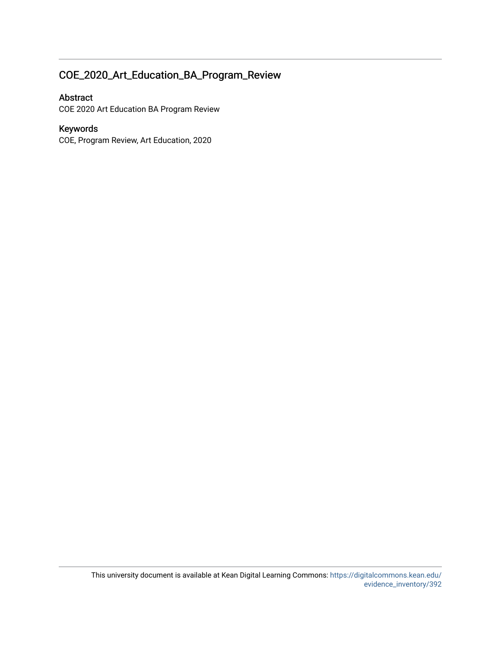# COE\_2020\_Art\_Education\_BA\_Program\_Review

### Abstract

COE 2020 Art Education BA Program Review

### Keywords

COE, Program Review, Art Education, 2020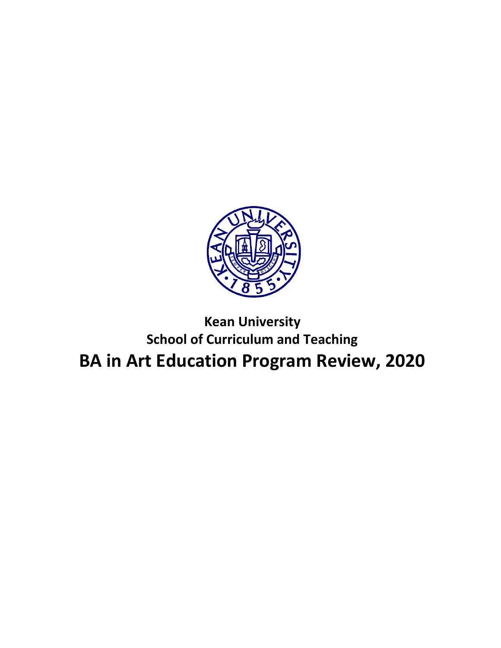

# **Kean University School of Curriculum and Teaching BA in Art Education Program Review, 2020**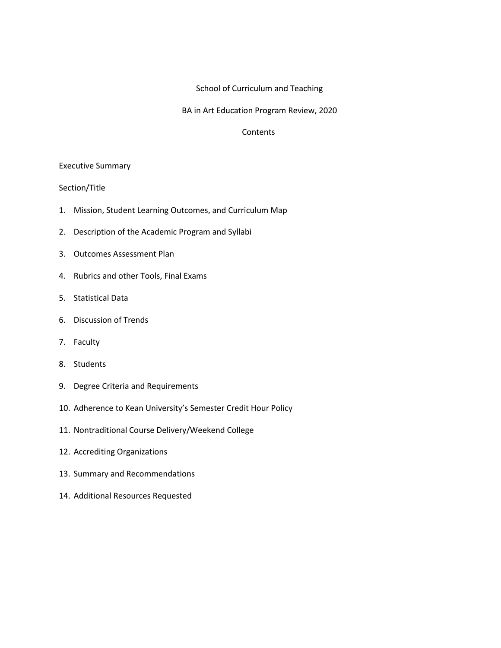#### School of Curriculum and Teaching

#### BA in Art Education Program Review, 2020

#### **Contents**

#### Executive Summary

#### Section/Title

- 1. Mission, Student Learning Outcomes, and Curriculum Map
- 2. Description of the Academic Program and Syllabi
- 3. Outcomes Assessment Plan
- 4. Rubrics and other Tools, Final Exams
- 5. Statistical Data
- 6. Discussion of Trends
- 7. Faculty
- 8. Students
- 9. Degree Criteria and Requirements
- 10. Adherence to Kean University's Semester Credit Hour Policy
- 11. Nontraditional Course Delivery/Weekend College
- 12. Accrediting Organizations
- 13. Summary and Recommendations
- 14. Additional Resources Requested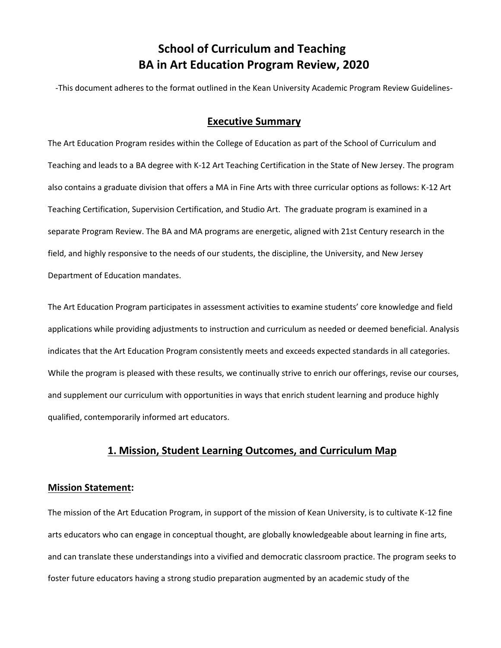# **School of Curriculum and Teaching BA in Art Education Program Review, 2020**

-This document adheres to the format outlined in the Kean University Academic Program Review Guidelines-

### **Executive Summary**

The Art Education Program resides within the College of Education as part of the School of Curriculum and Teaching and leads to a BA degree with K-12 Art Teaching Certification in the State of New Jersey. The program also contains a graduate division that offers a MA in Fine Arts with three curricular options as follows: K-12 Art Teaching Certification, Supervision Certification, and Studio Art. The graduate program is examined in a separate Program Review. The BA and MA programs are energetic, aligned with 21st Century research in the field, and highly responsive to the needs of our students, the discipline, the University, and New Jersey Department of Education mandates.

The Art Education Program participates in assessment activities to examine students' core knowledge and field applications while providing adjustments to instruction and curriculum as needed or deemed beneficial. Analysis indicates that the Art Education Program consistently meets and exceeds expected standards in all categories. While the program is pleased with these results, we continually strive to enrich our offerings, revise our courses, and supplement our curriculum with opportunities in ways that enrich student learning and produce highly qualified, contemporarily informed art educators.

### **1. Mission, Student Learning Outcomes, and Curriculum Map**

#### **Mission Statement:**

The mission of the Art Education Program, in support of the mission of Kean University, is to cultivate K-12 fine arts educators who can engage in conceptual thought, are globally knowledgeable about learning in fine arts, and can translate these understandings into a vivified and democratic classroom practice. The program seeks to foster future educators having a strong studio preparation augmented by an academic study of the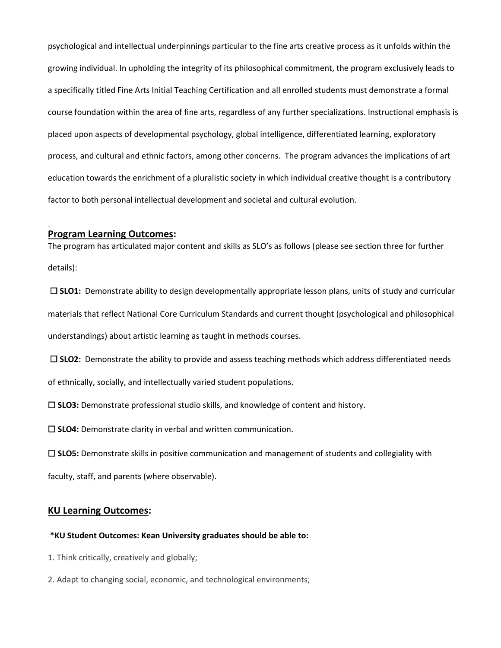psychological and intellectual underpinnings particular to the fine arts creative process as it unfolds within the growing individual. In upholding the integrity of its philosophical commitment, the program exclusively leads to a specifically titled Fine Arts Initial Teaching Certification and all enrolled students must demonstrate a formal course foundation within the area of fine arts, regardless of any further specializations. Instructional emphasis is placed upon aspects of developmental psychology, global intelligence, differentiated learning, exploratory process, and cultural and ethnic factors, among other concerns. The program advances the implications of art education towards the enrichment of a pluralistic society in which individual creative thought is a contributory factor to both personal intellectual development and societal and cultural evolution.

#### **Program Learning Outcomes:**

The program has articulated major content and skills as SLO's as follows (please see section three for further details):

☐ **SLO1:** Demonstrate ability to design developmentally appropriate lesson plans, units of study and curricular materials that reflect National Core Curriculum Standards and current thought (psychological and philosophical understandings) about artistic learning as taught in methods courses.

□ SLO2: Demonstrate the ability to provide and assess teaching methods which address differentiated needs of ethnically, socially, and intellectually varied student populations.

☐ **SLO3:** Demonstrate professional studio skills, and knowledge of content and history.

☐ **SLO4:** Demonstrate clarity in verbal and written communication.

☐ **SLO5:** Demonstrate skills in positive communication and management of students and collegiality with

faculty, staff, and parents (where observable).

#### **KU Learning Outcomes:**

#### **\*KU Student Outcomes: Kean University graduates should be able to:**

- 1. Think critically, creatively and globally;
- 2. Adapt to changing social, economic, and technological environments;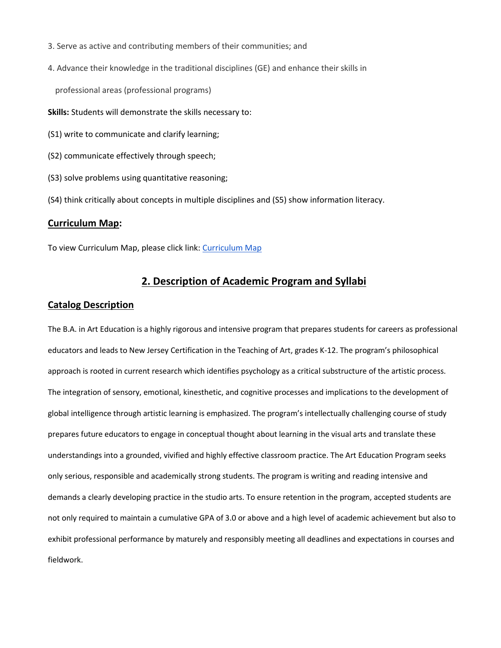- 3. Serve as active and contributing members of their communities; and
- 4. Advance their knowledge in the traditional disciplines (GE) and enhance their skills in

professional areas (professional programs)

- **Skills:** Students will demonstrate the skills necessary to:
- (S1) write to communicate and clarify learning;
- (S2) communicate effectively through speech;
- (S3) solve problems using quantitative reasoning;
- (S4) think critically about concepts in multiple disciplines and (S5) show information literacy.

#### **Curriculum Map:**

To view Curriculum Map, please click link: [Curriculum Map](https://drive.google.com/file/d/1jFrB3m3EUhSWy1MJI0vC8zozCNSvpump/view?usp=sharing)

### **2. Description of Academic Program and Syllabi**

#### **Catalog Description**

The B.A. in Art Education is a highly rigorous and intensive program that prepares students for careers as professional educators and leads to New Jersey Certification in the Teaching of Art, grades K-12. The program's philosophical approach is rooted in current research which identifies psychology as a critical substructure of the artistic process. The integration of sensory, emotional, kinesthetic, and cognitive processes and implications to the development of global intelligence through artistic learning is emphasized. The program's intellectually challenging course of study prepares future educators to engage in conceptual thought about learning in the visual arts and translate these understandings into a grounded, vivified and highly effective classroom practice. The Art Education Program seeks only serious, responsible and academically strong students. The program is writing and reading intensive and demands a clearly developing practice in the studio arts. To ensure retention in the program, accepted students are not only required to maintain a cumulative GPA of 3.0 or above and a high level of academic achievement but also to exhibit professional performance by maturely and responsibly meeting all deadlines and expectations in courses and fieldwork.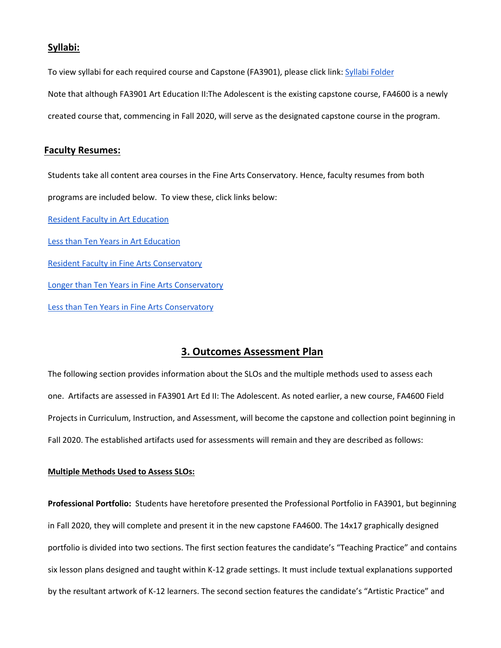#### **Syllabi:**

To view syllabi for each required course and Capstone (FA3901), please click link: [Syllabi Folder](https://drive.google.com/drive/folders/1sOvyDgVL__l_2AcieoG-ZL2UUH6vM06f?usp=sharing) Note that although FA3901 Art Education II:The Adolescent is the existing capstone course, FA4600 is a newly created course that, commencing in Fall 2020, will serve as the designated capstone course in the program.

#### **Faculty Resumes:**

Students take all content area courses in the Fine Arts Conservatory. Hence, faculty resumes from both programs are included below. To view these, click links below: [Resident Faculty in Art Education](https://drive.google.com/file/d/1fGrEYBIsUYyL52GMxdxGX4UYLKeacin-/view?usp=sharing) [Less than Ten Years in Art Education](https://drive.google.com/file/d/1xAUZ5ICogC5-QH036T99XvrILASpqNM1/view?usp=sharing) **[Resident Faculty in Fine Arts Conservatory](https://drive.google.com/drive/folders/1iyFAFz_7-0WLzLo4ux6Y41rGLFZb8UUb?usp=sharing)** [Longer than Ten Years in Fine Arts Conservatory](https://drive.google.com/drive/folders/1uM1TtuOyNtYNqqtDHZhvmE9gXBxZB1p9?usp=sharing) [Less than Ten Years in Fine Arts Conservatory](https://drive.google.com/drive/folders/1X5d6yPHrR7mElHRuGX3IwyQpyk9xoBRa?usp=sharing)

### **3. Outcomes Assessment Plan**

The following section provides information about the SLOs and the multiple methods used to assess each one. Artifacts are assessed in FA3901 Art Ed II: The Adolescent. As noted earlier, a new course, FA4600 Field Projects in Curriculum, Instruction, and Assessment, will become the capstone and collection point beginning in Fall 2020. The established artifacts used for assessments will remain and they are described as follows:

#### **Multiple Methods Used to Assess SLOs:**

**Professional Portfolio:** Students have heretofore presented the Professional Portfolio in FA3901, but beginning in Fall 2020, they will complete and present it in the new capstone FA4600. The 14x17 graphically designed portfolio is divided into two sections. The first section features the candidate's "Teaching Practice" and contains six lesson plans designed and taught within K-12 grade settings. It must include textual explanations supported by the resultant artwork of K-12 learners. The second section features the candidate's "Artistic Practice" and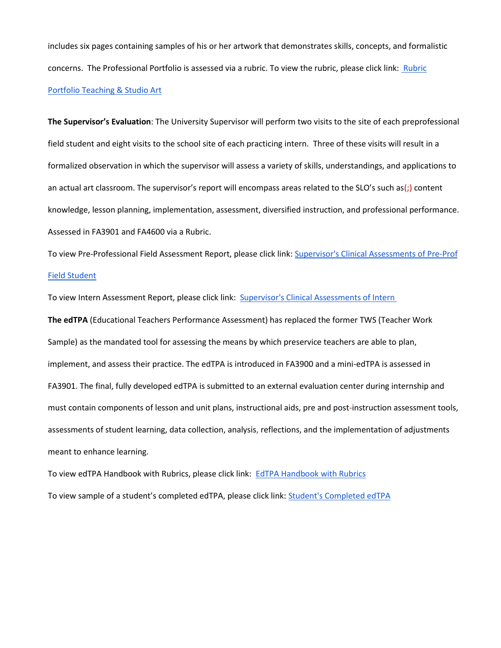includes six pages containing samples of his or her artwork that demonstrates skills, concepts, and formalistic concerns. The Professional Portfolio is assessed via a rubric. To view the rubric, please click link: Rubric [Portfolio Teaching & Studio Art](https://drive.google.com/file/d/1nY6dOKV8Gt_LFpPXU_NbEgnqr1EArQlA/view?usp=sharing)

**The Supervisor's Evaluation**: The University Supervisor will perform two visits to the site of each preprofessional field student and eight visits to the school site of each practicing intern. Three of these visits will result in a formalized observation in which the supervisor will assess a variety of skills, understandings, and applications to an actual art classroom. The supervisor's report will encompass areas related to the SLO's such as(;) content knowledge, lesson planning, implementation, assessment, diversified instruction, and professional performance. Assessed in FA3901 and FA4600 via a Rubric.

To view Pre-Professional Field Assessment Report, please click link: [Supervisor's Clinical Assessments of Pre-Prof](https://drive.google.com/file/d/108-j_IFWqEJAF0sT1keBmAQg58DP_yUY/view?usp=sharing)  [Field Student](https://drive.google.com/file/d/108-j_IFWqEJAF0sT1keBmAQg58DP_yUY/view?usp=sharing)

To view Intern Assessment Report, please click link: [Supervisor's Clinical Assessments of Intern](https://drive.google.com/file/d/1Oxo7GrrGsJAeliG-UBneHkBOq74nJFcr/view?usp=sharingvaluation))

**The edTPA** (Educational Teachers Performance Assessment) has replaced the former TWS (Teacher Work Sample) as the mandated tool for assessing the means by which preservice teachers are able to plan, implement, and assess their practice. The edTPA is introduced in FA3900 and a mini-edTPA is assessed in FA3901. The final, fully developed edTPA is submitted to an external evaluation center during internship and must contain components of lesson and unit plans, instructional aids, pre and post-instruction assessment tools, assessments of student learning, data collection, analysis, reflections, and the implementation of adjustments meant to enhance learning.

To view edTPA Handbook with Rubrics, please click link: [EdTPA Handbook with Rubrics](https://drive.google.com/file/d/1g1OLTObS7EPMkyO3NQ4qq8Rfh1UTG4b1/view?usp=sharing) To view sample of a student's completed edTPA, please click link: [Student's Completed edTPA](https://drive.google.com/drive/folders/1tcVDXFvbyqlwK1QnLSPubHvwgzu_n2-Z?usp=sharing)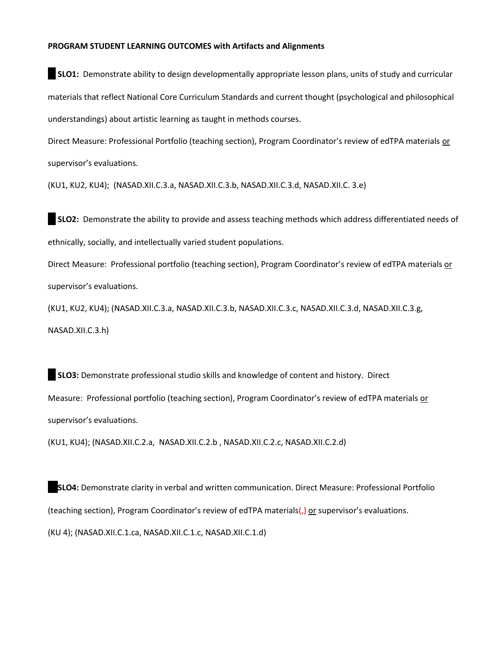#### **PROGRAM STUDENT LEARNING OUTCOMES with Artifacts and Alignments**

**SLO1:** Demonstrate ability to design developmentally appropriate lesson plans, units of study and curricular materials that reflect National Core Curriculum Standards and current thought (psychological and philosophical understandings) about artistic learning as taught in methods courses.

Direct Measure: Professional Portfolio (teaching section), Program Coordinator's review of edTPA materials or supervisor's evaluations.

(KU1, KU2, KU4); (NASAD.XII.C.3.a, NASAD.XII.C.3.b, NASAD.XII.C.3.d, NASAD.XII.C. 3.e)

**SLO2:** Demonstrate the ability to provide and assess teaching methods which address differentiated needs of ethnically, socially, and intellectually varied student populations.

Direct Measure: Professional portfolio (teaching section), Program Coordinator's review of edTPA materials or supervisor's evaluations.

(KU1, KU2, KU4); (NASAD.XII.C.3.a, NASAD.XII.C.3.b, NASAD.XII.C.3.c, NASAD.XII.C.3.d, NASAD.XII.C.3.g, NASAD.XII.C.3.h)

**SLO3:** Demonstrate professional studio skills and knowledge of content and history. Direct Measure: Professional portfolio (teaching section), Program Coordinator's review of edTPA materials or supervisor's evaluations.

(KU1, KU4); (NASAD.XII.C.2.a, NASAD.XII.C.2.b , NASAD.XII.C.2.c, NASAD.XII.C.2.d)

☐ **SLO4:** Demonstrate clarity in verbal and written communication. Direct Measure: Professional Portfolio (teaching section), Program Coordinator's review of edTPA materials(,) or supervisor's evaluations. (KU 4); (NASAD.XII.C.1.ca, NASAD.XII.C.1.c, NASAD.XII.C.1.d)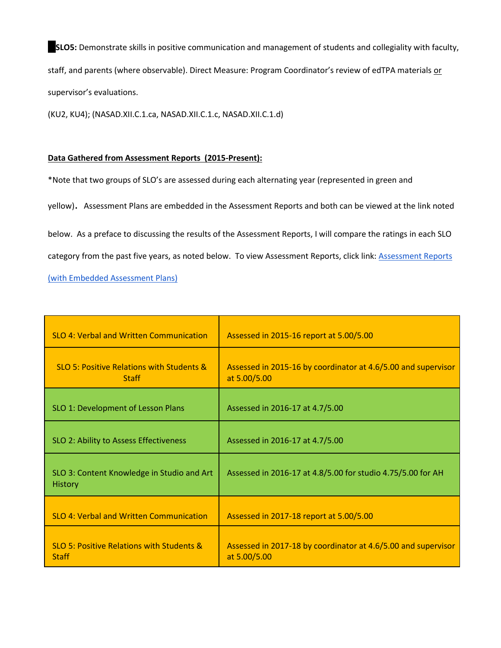☐**SLO5:** Demonstrate skills in positive communication and management of students and collegiality with faculty, staff, and parents (where observable). Direct Measure: Program Coordinator's review of edTPA materials or supervisor's evaluations.

(KU2, KU4); (NASAD.XII.C.1.ca, NASAD.XII.C.1.c, NASAD.XII.C.1.d)

#### **Data Gathered from Assessment Reports (2015-Present):**

\*Note that two groups of SLO's are assessed during each alternating year (represented in green and

yellow). Assessment Plans are embedded in the Assessment Reports and both can be viewed at the link noted

below. As a preface to discussing the results of the Assessment Reports, I will compare the ratings in each SLO

category from the past five years, as noted below. To view Assessment Reports, click link: **Assessment Reports** 

[\(with Embedded Assessment Plans\)](https://drive.google.com/drive/folders/12TyUHh8MbkXKYoU4j22UuCYbO_kOM8MR?usp=sharing)

| <b>SLO 4: Verbal and Written Communication</b>                       | Assessed in 2015-16 report at 5.00/5.00                                       |
|----------------------------------------------------------------------|-------------------------------------------------------------------------------|
| <b>SLO 5: Positive Relations with Students &amp;</b><br><b>Staff</b> | Assessed in 2015-16 by coordinator at 4.6/5.00 and supervisor<br>at 5.00/5.00 |
| SLO 1: Development of Lesson Plans                                   | Assessed in 2016-17 at 4.7/5.00                                               |
| SLO 2: Ability to Assess Effectiveness                               | Assessed in 2016-17 at 4.7/5.00                                               |
| SLO 3: Content Knowledge in Studio and Art<br><b>History</b>         | Assessed in 2016-17 at 4.8/5.00 for studio 4.75/5.00 for AH                   |
| SLO 4: Verbal and Written Communication                              | Assessed in 2017-18 report at 5.00/5.00                                       |
| <b>SLO 5: Positive Relations with Students &amp;</b><br><b>Staff</b> | Assessed in 2017-18 by coordinator at 4.6/5.00 and supervisor<br>at 5.00/5.00 |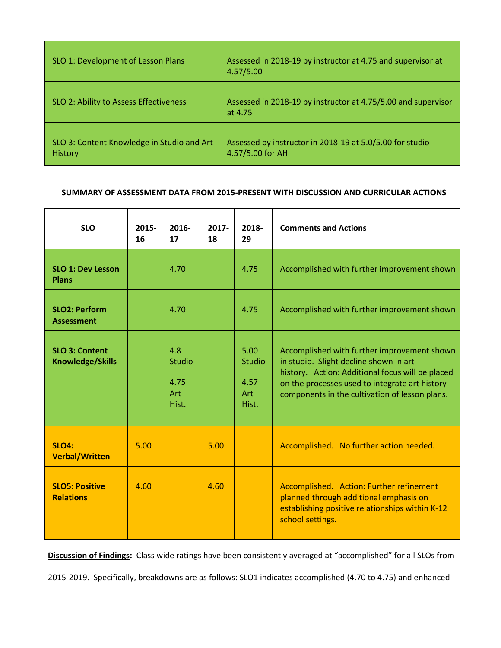| SLO 1: Development of Lesson Plans                           | Assessed in 2018-19 by instructor at 4.75 and supervisor at<br>4.57/5.00     |
|--------------------------------------------------------------|------------------------------------------------------------------------------|
| SLO 2: Ability to Assess Effectiveness                       | Assessed in 2018-19 by instructor at 4.75/5.00 and supervisor<br>at 4.75     |
| SLO 3: Content Knowledge in Studio and Art<br><b>History</b> | Assessed by instructor in 2018-19 at 5.0/5.00 for studio<br>4.57/5.00 for AH |

#### **SUMMARY OF ASSESSMENT DATA FROM 2015-PRESENT WITH DISCUSSION AND CURRICULAR ACTIONS**

| <b>SLO</b>                                       | $2015 -$<br>16 | 2016-<br>17                           | $2017 -$<br>18 | 2018-<br>29                            | <b>Comments and Actions</b>                                                                                                                                                                                                                   |
|--------------------------------------------------|----------------|---------------------------------------|----------------|----------------------------------------|-----------------------------------------------------------------------------------------------------------------------------------------------------------------------------------------------------------------------------------------------|
| <b>SLO 1: Dev Lesson</b><br>Plans                |                | 4.70                                  |                | 4.75                                   | Accomplished with further improvement shown                                                                                                                                                                                                   |
| <b>SLO2: Perform</b><br><b>Assessment</b>        |                | 4.70                                  |                | 4.75                                   | Accomplished with further improvement shown                                                                                                                                                                                                   |
| <b>SLO 3: Content</b><br><b>Knowledge/Skills</b> |                | 4.8<br>Studio<br>4.75<br>Art<br>Hist. |                | 5.00<br>Studio<br>4.57<br>Art<br>Hist. | Accomplished with further improvement shown<br>in studio. Slight decline shown in art<br>history. Action: Additional focus will be placed<br>on the processes used to integrate art history<br>components in the cultivation of lesson plans. |
| <b>SLO4:</b><br><b>Verbal/Written</b>            | 5.00           |                                       | 5.00           |                                        | Accomplished. No further action needed.                                                                                                                                                                                                       |
| <b>SLO5: Positive</b><br><b>Relations</b>        | 4.60           |                                       | 4.60           |                                        | Accomplished. Action: Further refinement<br>planned through additional emphasis on<br>establishing positive relationships within K-12<br>school settings.                                                                                     |

**Discussion of Findings:** Class wide ratings have been consistently averaged at "accomplished" for all SLOs from

2015-2019. Specifically, breakdowns are as follows: SLO1 indicates accomplished (4.70 to 4.75) and enhanced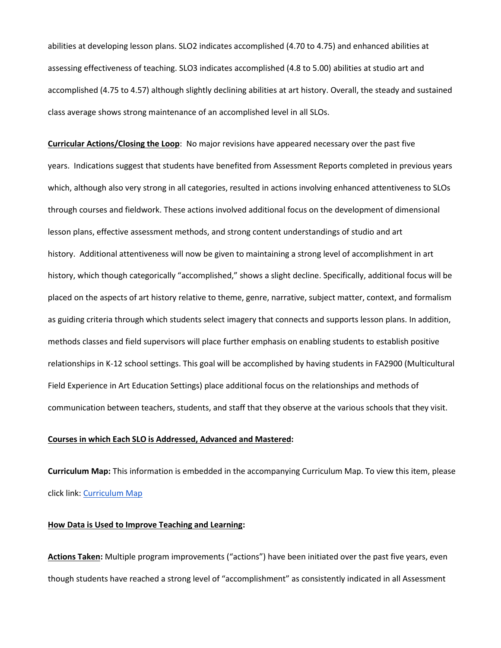abilities at developing lesson plans. SLO2 indicates accomplished (4.70 to 4.75) and enhanced abilities at assessing effectiveness of teaching. SLO3 indicates accomplished (4.8 to 5.00) abilities at studio art and accomplished (4.75 to 4.57) although slightly declining abilities at art history. Overall, the steady and sustained class average shows strong maintenance of an accomplished level in all SLOs.

**Curricular Actions/Closing the Loop**: No major revisions have appeared necessary over the past five years. Indications suggest that students have benefited from Assessment Reports completed in previous years which, although also very strong in all categories, resulted in actions involving enhanced attentiveness to SLOs through courses and fieldwork. These actions involved additional focus on the development of dimensional lesson plans, effective assessment methods, and strong content understandings of studio and art history. Additional attentiveness will now be given to maintaining a strong level of accomplishment in art history, which though categorically "accomplished," shows a slight decline. Specifically, additional focus will be placed on the aspects of art history relative to theme, genre, narrative, subject matter, context, and formalism as guiding criteria through which students select imagery that connects and supports lesson plans. In addition, methods classes and field supervisors will place further emphasis on enabling students to establish positive relationships in K-12 school settings. This goal will be accomplished by having students in FA2900 (Multicultural Field Experience in Art Education Settings) place additional focus on the relationships and methods of communication between teachers, students, and staff that they observe at the various schools that they visit.

#### **Courses in which Each SLO is Addressed, Advanced and Mastered:**

**Curriculum Map:** This information is embedded in the accompanying Curriculum Map. To view this item, please click link[: Curriculum Map](https://drive.google.com/file/d/1jFrB3m3EUhSWy1MJI0vC8zozCNSvpump/view?usp=sharing)

#### **How Data is Used to Improve Teaching and Learning:**

**Actions Taken:** Multiple program improvements ("actions") have been initiated over the past five years, even though students have reached a strong level of "accomplishment" as consistently indicated in all Assessment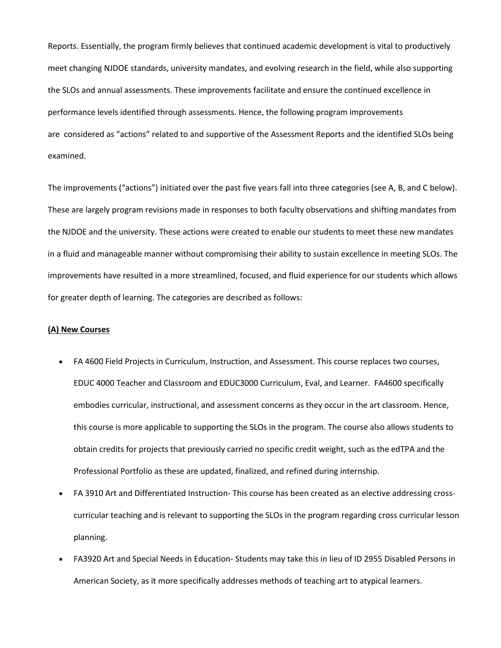Reports. Essentially, the program firmly believes that continued academic development is vital to productively meet changing NJDOE standards, university mandates, and evolving research in the field, while also supporting the SLOs and annual assessments. These improvements facilitate and ensure the continued excellence in performance levels identified through assessments. Hence, the following program improvements are considered as "actions" related to and supportive of the Assessment Reports and the identified SLOs being examined.

The improvements ("actions") initiated over the past five years fall into three categories (see A, B, and C below). These are largely program revisions made in responses to both faculty observations and shifting mandates from the NJDOE and the university. These actions were created to enable our students to meet these new mandates in a fluid and manageable manner without compromising their ability to sustain excellence in meeting SLOs. The improvements have resulted in a more streamlined, focused, and fluid experience for our students which allows for greater depth of learning. The categories are described as follows:

#### **(A) New Courses**

- FA 4600 Field Projects in Curriculum, Instruction, and Assessment. This course replaces two courses, EDUC 4000 Teacher and Classroom and EDUC3000 Curriculum, Eval, and Learner. FA4600 specifically embodies curricular, instructional, and assessment concerns as they occur in the art classroom. Hence, this course is more applicable to supporting the SLOs in the program. The course also allows students to obtain credits for projects that previously carried no specific credit weight, such as the edTPA and the Professional Portfolio as these are updated, finalized, and refined during internship.
- FA 3910 Art and Differentiated Instruction- This course has been created as an elective addressing crosscurricular teaching and is relevant to supporting the SLOs in the program regarding cross curricular lesson planning.
- FA3920 Art and Special Needs in Education- Students may take this in lieu of ID 2955 Disabled Persons in American Society, as it more specifically addresses methods of teaching art to atypical learners.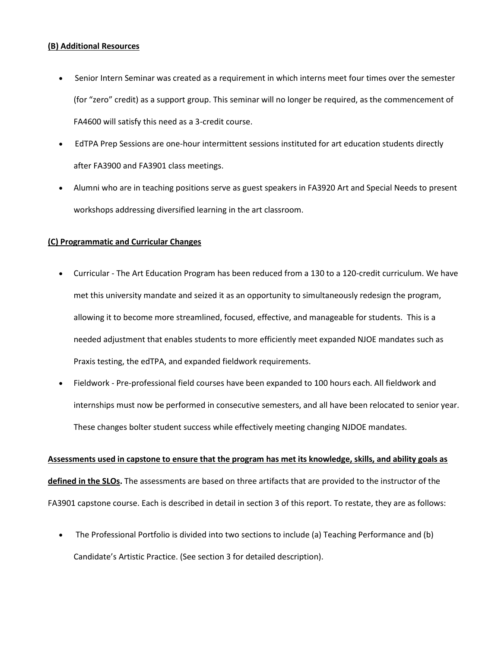#### **(B) Additional Resources**

- Senior Intern Seminar was created as a requirement in which interns meet four times over the semester (for "zero" credit) as a support group. This seminar will no longer be required, as the commencement of FA4600 will satisfy this need as a 3-credit course.
- EdTPA Prep Sessions are one-hour intermittent sessions instituted for art education students directly after FA3900 and FA3901 class meetings.
- Alumni who are in teaching positions serve as guest speakers in FA3920 Art and Special Needs to present workshops addressing diversified learning in the art classroom.

#### **(C) Programmatic and Curricular Changes**

- Curricular The Art Education Program has been reduced from a 130 to a 120-credit curriculum. We have met this university mandate and seized it as an opportunity to simultaneously redesign the program, allowing it to become more streamlined, focused, effective, and manageable for students. This is a needed adjustment that enables students to more efficiently meet expanded NJOE mandates such as Praxis testing, the edTPA, and expanded fieldwork requirements.
- Fieldwork Pre-professional field courses have been expanded to 100 hours each. All fieldwork and internships must now be performed in consecutive semesters, and all have been relocated to senior year. These changes bolter student success while effectively meeting changing NJDOE mandates.

**Assessments used in capstone to ensure that the program has met its knowledge, skills, and ability goals as defined in the SLOs.** The assessments are based on three artifacts that are provided to the instructor of the FA3901 capstone course. Each is described in detail in section 3 of this report. To restate, they are as follows:

• The Professional Portfolio is divided into two sections to include (a) Teaching Performance and (b) Candidate's Artistic Practice. (See section 3 for detailed description).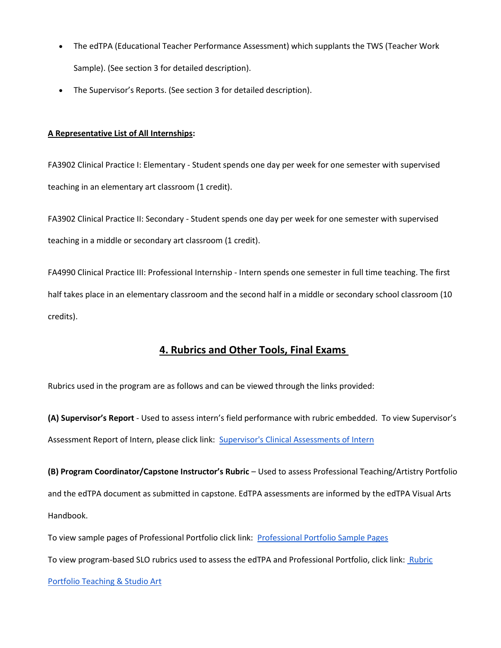- The edTPA (Educational Teacher Performance Assessment) which supplants the TWS (Teacher Work Sample). (See section 3 for detailed description).
- The Supervisor's Reports. (See section 3 for detailed description).

#### **A Representative List of All Internships:**

FA3902 Clinical Practice I: Elementary - Student spends one day per week for one semester with supervised teaching in an elementary art classroom (1 credit).

FA3902 Clinical Practice II: Secondary - Student spends one day per week for one semester with supervised teaching in a middle or secondary art classroom (1 credit).

FA4990 Clinical Practice III: Professional Internship - Intern spends one semester in full time teaching. The first half takes place in an elementary classroom and the second half in a middle or secondary school classroom (10 credits).

### **4. Rubrics and Other Tools, Final Exams**

Rubrics used in the program are as follows and can be viewed through the links provided:

**(A) Supervisor's Report** - Used to assess intern's field performance with rubric embedded. To view Supervisor's Assessment Report of Intern, please click link: [Supervisor's Clinical Assessments of Intern](https://drive.google.com/file/d/1Oxo7GrrGsJAeliG-UBneHkBOq74nJFcr/view?usp=sharingvaluation))

**(B) Program Coordinator/Capstone Instructor's Rubric** – Used to assess Professional Teaching/Artistry Portfolio and the edTPA document as submitted in capstone. EdTPA assessments are informed by the edTPA Visual Arts Handbook.

To view sample pages of Professional Portfolio click link: [Professional Portfolio Sample Pages](https://drive.google.com/file/d/1vVzLGcMlS99x4CHIY21vrt_QMOlNdIEW/view?usp=sharing)

To view program-based SLO rubrics used to assess the edTPA and Professional Portfolio, click link: Rubric

#### [Portfolio Teaching & Studio Art](https://drive.google.com/file/d/1nY6dOKV8Gt_LFpPXU_NbEgnqr1EArQlA/view?usp=sharing)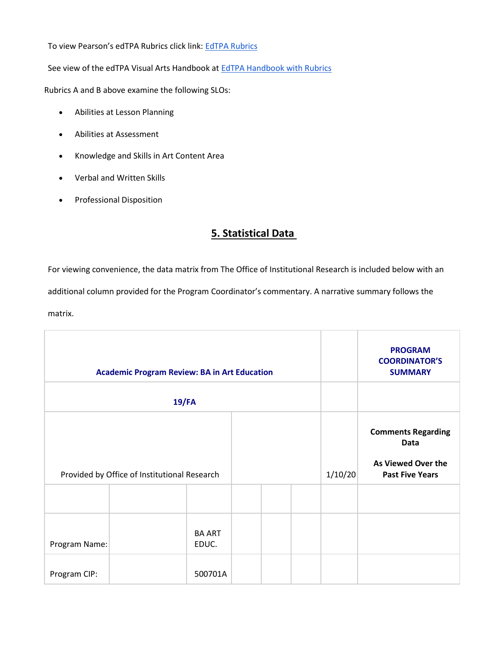To view Pearson's edTPA Rubrics click link: [EdTPA Rubrics](https://drive.google.com/file/d/11tL_yrXWC2qIeBBGx1ye74qCSMF0qS3d/view?usp=sharing)

See view of the edTPA Visual Arts Handbook at [EdTPA Handbook with Rubrics](https://drive.google.com/file/d/1g1OLTObS7EPMkyO3NQ4qq8Rfh1UTG4b1/view?usp=sharing)

Rubrics A and B above examine the following SLOs:

- Abilities at Lesson Planning
- Abilities at Assessment
- Knowledge and Skills in Art Content Area
- Verbal and Written Skills
- Professional Disposition

# **5. Statistical Data**

For viewing convenience, the data matrix from The Office of Institutional Research is included below with an additional column provided for the Program Coordinator's commentary. A narrative summary follows the matrix.

|               | <b>Academic Program Review: BA in Art Education</b> |                        |  |         | <b>PROGRAM</b><br><b>COORDINATOR'S</b><br><b>SUMMARY</b>                          |
|---------------|-----------------------------------------------------|------------------------|--|---------|-----------------------------------------------------------------------------------|
|               | $19$ /FA                                            |                        |  |         |                                                                                   |
|               | Provided by Office of Institutional Research        |                        |  | 1/10/20 | <b>Comments Regarding</b><br>Data<br>As Viewed Over the<br><b>Past Five Years</b> |
|               |                                                     |                        |  |         |                                                                                   |
| Program Name: |                                                     | <b>BA ART</b><br>EDUC. |  |         |                                                                                   |
| Program CIP:  |                                                     | 500701A                |  |         |                                                                                   |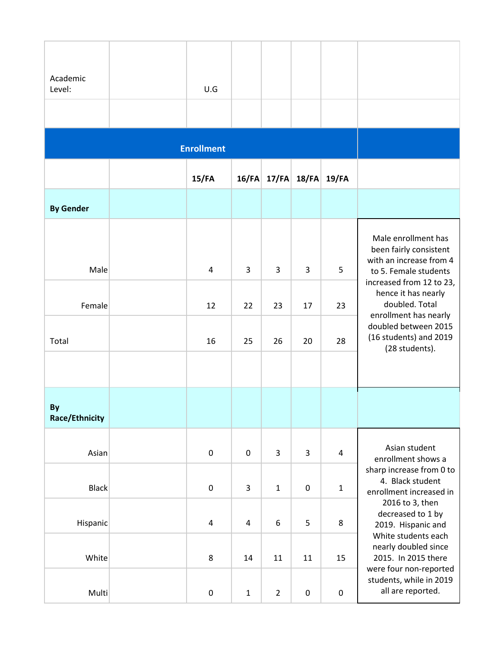| Academic<br>Level:          | U.G               |             |                |                      |             |                                                                                                   |
|-----------------------------|-------------------|-------------|----------------|----------------------|-------------|---------------------------------------------------------------------------------------------------|
|                             | <b>Enrollment</b> |             |                |                      |             |                                                                                                   |
|                             | $15$ /FA          |             |                | $16$ /FA 17/FA 18/FA | $19$ /FA    |                                                                                                   |
| <b>By Gender</b>            |                   |             |                |                      |             |                                                                                                   |
| Male                        | 4                 | 3           | 3              | 3                    | 5           | Male enrollment has<br>been fairly consistent<br>with an increase from 4<br>to 5. Female students |
| Female                      | 12                | 22          | 23             | 17                   | 23          | increased from 12 to 23,<br>hence it has nearly<br>doubled. Total<br>enrollment has nearly        |
| Total                       | 16                | 25          | 26             | 20                   | 28          | doubled between 2015<br>(16 students) and 2019<br>(28 students).                                  |
|                             |                   |             |                |                      |             |                                                                                                   |
| By<br><b>Race/Ethnicity</b> |                   |             |                |                      |             |                                                                                                   |
| Asian                       | $\pmb{0}$         | 0           | 3              | 3                    | $\pmb{4}$   | Asian student<br>enrollment shows a                                                               |
| <b>Black</b>                | $\pmb{0}$         | 3           | $\mathbf 1$    | $\pmb{0}$            | $\mathbf 1$ | sharp increase from 0 to<br>4. Black student<br>enrollment increased in                           |
| Hispanic                    | 4                 | 4           | 6              | 5                    | 8           | 2016 to 3, then<br>decreased to 1 by<br>2019. Hispanic and<br>White students each                 |
| White                       | 8                 | 14          | 11             | 11                   | 15          | nearly doubled since<br>2015. In 2015 there<br>were four non-reported                             |
| Multi                       | $\pmb{0}$         | $\mathbf 1$ | $\overline{2}$ | $\pmb{0}$            | $\pmb{0}$   | students, while in 2019<br>all are reported.                                                      |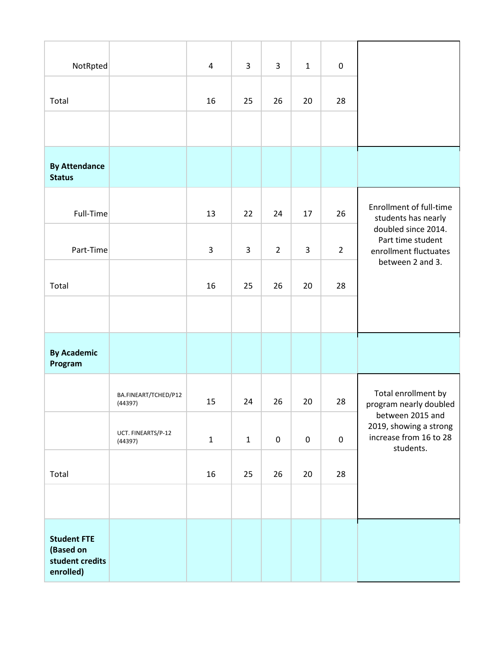| NotRpted                                                        |                                 | $\overline{a}$ | 3     | 3              | $\mathbf{1}$ | $\pmb{0}$      |                                                                      |
|-----------------------------------------------------------------|---------------------------------|----------------|-------|----------------|--------------|----------------|----------------------------------------------------------------------|
| Total                                                           |                                 | 16             | 25    | 26             | 20           | 28             |                                                                      |
|                                                                 |                                 |                |       |                |              |                |                                                                      |
| <b>By Attendance</b><br><b>Status</b>                           |                                 |                |       |                |              |                |                                                                      |
| Full-Time                                                       |                                 | 13             | 22    | 24             | 17           | 26             | <b>Enrollment of full-time</b><br>students has nearly                |
| Part-Time                                                       |                                 | 3              | 3     | $\overline{2}$ | $\mathsf 3$  | $\overline{2}$ | doubled since 2014.<br>Part time student<br>enrollment fluctuates    |
| Total                                                           |                                 | 16             | 25    | 26             | 20           | 28             | between 2 and 3.                                                     |
|                                                                 |                                 |                |       |                |              |                |                                                                      |
| <b>By Academic</b><br>Program                                   |                                 |                |       |                |              |                |                                                                      |
|                                                                 | BA.FINEART/TCHED/P12<br>(44397) | 15             | 24    | 26             | 20           | 28             | Total enrollment by<br>program nearly doubled                        |
|                                                                 | UCT. FINEARTS/P-12<br>(44397)   | $\mathbf{1}$   | $1\,$ | $\pmb{0}$      | $\mathbf 0$  | $\pmb{0}$      | between 2015 and<br>2019, showing a strong<br>increase from 16 to 28 |
| Total                                                           |                                 | 16             | 25    | 26             | 20           | 28             | students.                                                            |
|                                                                 |                                 |                |       |                |              |                |                                                                      |
| <b>Student FTE</b><br>(Based on<br>student credits<br>enrolled) |                                 |                |       |                |              |                |                                                                      |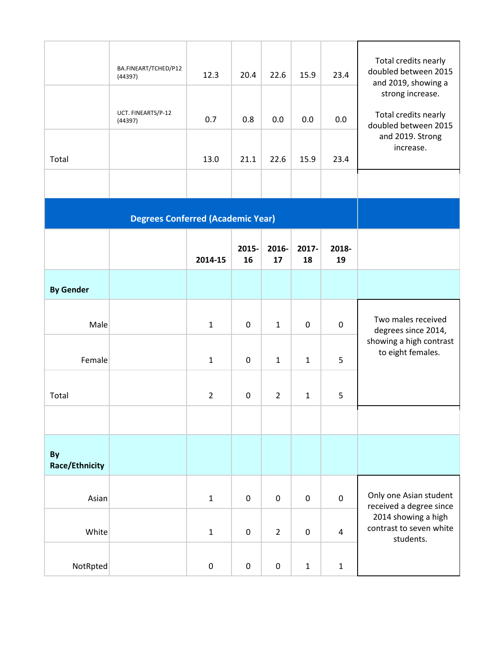|                             | BA.FINEART/TCHED/P12<br>(44397)<br>UCT. FINEARTS/P-12<br>(44397) | 12.3<br>0.7    | 20.4<br>0.8 | 22.6<br>0.0    | 15.9<br>0.0  | 23.4<br>0.0             | Total credits nearly<br>doubled between 2015<br>and 2019, showing a<br>strong increase.<br>Total credits nearly<br>doubled between 2015 |
|-----------------------------|------------------------------------------------------------------|----------------|-------------|----------------|--------------|-------------------------|-----------------------------------------------------------------------------------------------------------------------------------------|
| Total                       |                                                                  | 13.0           | 21.1        | 22.6           | 15.9         | 23.4                    | and 2019. Strong<br>increase.                                                                                                           |
|                             |                                                                  |                |             |                |              |                         |                                                                                                                                         |
|                             | <b>Degrees Conferred (Academic Year)</b>                         |                |             |                |              |                         |                                                                                                                                         |
|                             |                                                                  | 2014-15        | 2015-<br>16 | 2016-<br>17    | 2017-<br>18  | 2018-<br>19             |                                                                                                                                         |
| <b>By Gender</b>            |                                                                  |                |             |                |              |                         |                                                                                                                                         |
| Male                        |                                                                  | $\mathbf{1}$   | $\pmb{0}$   | $\mathbf{1}$   | 0            | $\boldsymbol{0}$        | Two males received<br>degrees since 2014,                                                                                               |
| Female                      |                                                                  | $\mathbf{1}$   | $\mathbf 0$ | 1              | $\mathbf 1$  | 5                       | showing a high contrast<br>to eight females.                                                                                            |
| Total                       |                                                                  | $\overline{2}$ | 0           | $\overline{2}$ | $\mathbf{1}$ | 5                       |                                                                                                                                         |
|                             |                                                                  |                |             |                |              |                         |                                                                                                                                         |
| By<br><b>Race/Ethnicity</b> |                                                                  |                |             |                |              |                         |                                                                                                                                         |
| Asian                       |                                                                  | $\mathbf{1}$   | $\pmb{0}$   | $\pmb{0}$      | $\pmb{0}$    | $\pmb{0}$               | Only one Asian student<br>received a degree since                                                                                       |
| White                       |                                                                  | $\mathbf{1}$   | $\pmb{0}$   | $\overline{2}$ | 0            | $\overline{\mathbf{4}}$ | 2014 showing a high<br>contrast to seven white<br>students.                                                                             |
| NotRpted                    |                                                                  | 0              | $\pmb{0}$   | $\pmb{0}$      | $\mathbf 1$  | $\mathbf 1$             |                                                                                                                                         |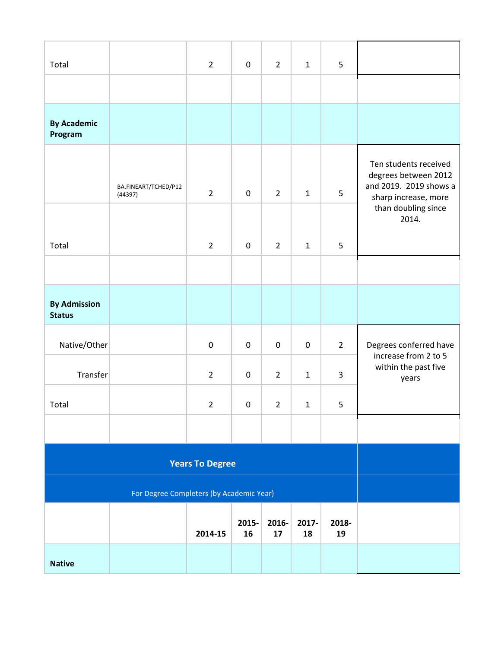| Total                                |                                          | $\overline{2}$         | 0           | $\overline{2}$ | $\mathbf{1}$ | 5                       |                                                                                                 |
|--------------------------------------|------------------------------------------|------------------------|-------------|----------------|--------------|-------------------------|-------------------------------------------------------------------------------------------------|
|                                      |                                          |                        |             |                |              |                         |                                                                                                 |
| <b>By Academic</b><br>Program        |                                          |                        |             |                |              |                         |                                                                                                 |
|                                      | BA.FINEART/TCHED/P12<br>(44397)          | $\overline{2}$         | $\pmb{0}$   | $\overline{2}$ | $\mathbf{1}$ | 5                       | Ten students received<br>degrees between 2012<br>and 2019. 2019 shows a<br>sharp increase, more |
| Total                                |                                          | $\overline{2}$         | $\pmb{0}$   | $\overline{2}$ | $\mathbf{1}$ | 5                       | than doubling since<br>2014.                                                                    |
|                                      |                                          |                        |             |                |              |                         |                                                                                                 |
| <b>By Admission</b><br><b>Status</b> |                                          |                        |             |                |              |                         |                                                                                                 |
| Native/Other                         |                                          | $\pmb{0}$              | $\pmb{0}$   | $\pmb{0}$      | $\pmb{0}$    | $\overline{2}$          | Degrees conferred have<br>increase from 2 to 5                                                  |
| Transfer                             |                                          | $\overline{2}$         | 0           | $\overline{2}$ | $\mathbf{1}$ | $\overline{\mathbf{3}}$ | within the past five<br>years                                                                   |
| Total                                |                                          | $\overline{2}$         | $\pmb{0}$   | $\overline{2}$ | $\mathbf 1$  | 5                       |                                                                                                 |
|                                      |                                          |                        |             |                |              |                         |                                                                                                 |
|                                      |                                          | <b>Years To Degree</b> |             |                |              |                         |                                                                                                 |
|                                      | For Degree Completers (by Academic Year) |                        |             |                |              |                         |                                                                                                 |
|                                      |                                          | 2014-15                | 2015-<br>16 | 2016-<br>17    | 2017-<br>18  | 2018-<br>19             |                                                                                                 |
| <b>Native</b>                        |                                          |                        |             |                |              |                         |                                                                                                 |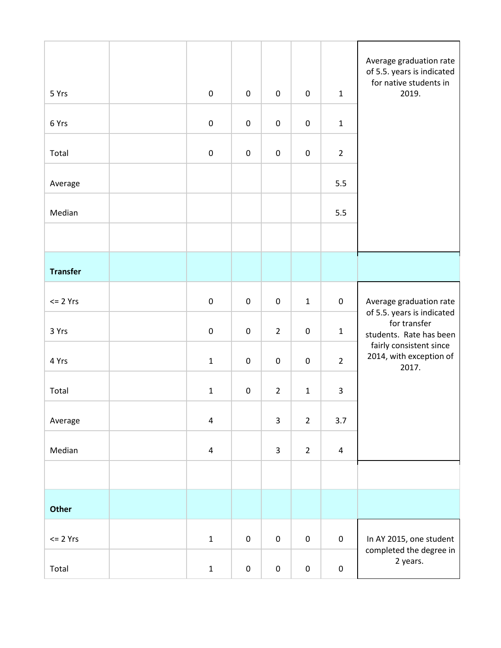| 5 Yrs           | $\pmb{0}$               | $\pmb{0}$ | $\pmb{0}$      | $\pmb{0}$      | $\mathbf 1$    | Average graduation rate<br>of 5.5. years is indicated<br>for native students in<br>2019. |
|-----------------|-------------------------|-----------|----------------|----------------|----------------|------------------------------------------------------------------------------------------|
| 6 Yrs           | $\pmb{0}$               | $\pmb{0}$ | $\pmb{0}$      | $\pmb{0}$      | $\mathbf 1$    |                                                                                          |
| Total           | $\pmb{0}$               | $\pmb{0}$ | $\pmb{0}$      | $\pmb{0}$      | $\overline{2}$ |                                                                                          |
| Average         |                         |           |                |                | 5.5            |                                                                                          |
| Median          |                         |           |                |                | 5.5            |                                                                                          |
|                 |                         |           |                |                |                |                                                                                          |
| <b>Transfer</b> |                         |           |                |                |                |                                                                                          |
| $<= 2 Yrs$      | $\pmb{0}$               | $\pmb{0}$ | $\pmb{0}$      | $\mathbf{1}$   | $\pmb{0}$      | Average graduation rate                                                                  |
| 3 Yrs           | $\pmb{0}$               | $\pmb{0}$ | $\overline{2}$ | $\pmb{0}$      | $\mathbf 1$    | of 5.5. years is indicated<br>for transfer<br>students. Rate has been                    |
| 4 Yrs           | $\mathbf{1}$            | $\pmb{0}$ | $\pmb{0}$      | $\pmb{0}$      | $\overline{2}$ | fairly consistent since<br>2014, with exception of<br>2017.                              |
| Total           | $\mathbf{1}$            | $\pmb{0}$ | $\overline{2}$ | $\mathbf 1$    | $\mathsf{3}$   |                                                                                          |
| Average         | $\pmb{4}$               |           | 3              | $\overline{2}$ | 3.7            |                                                                                          |
| Median          | $\overline{\mathbf{4}}$ |           | 3              | $\overline{2}$ | $\pmb{4}$      |                                                                                          |
|                 |                         |           |                |                |                |                                                                                          |
| Other           |                         |           |                |                |                |                                                                                          |
| $<= 2 Yrs$      | $\mathbf 1$             | $\pmb{0}$ | $\pmb{0}$      | $\pmb{0}$      | $\pmb{0}$      | In AY 2015, one student                                                                  |
| Total           | $\mathbf{1}$            | $\pmb{0}$ | $\pmb{0}$      | $\pmb{0}$      | $\pmb{0}$      | completed the degree in<br>2 years.                                                      |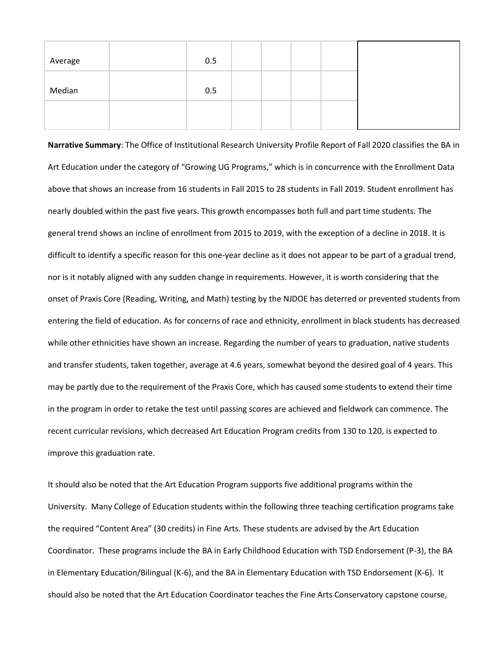| Average | 0.5 |  |  |
|---------|-----|--|--|
| Median  | 0.5 |  |  |
|         |     |  |  |

**Narrative Summary**: The Office of Institutional Research University Profile Report of Fall 2020 classifies the BA in Art Education under the category of "Growing UG Programs," which is in concurrence with the Enrollment Data above that shows an increase from 16 students in Fall 2015 to 28 students in Fall 2019. Student enrollment has nearly doubled within the past five years. This growth encompasses both full and part time students. The general trend shows an incline of enrollment from 2015 to 2019, with the exception of a decline in 2018. It is difficult to identify a specific reason for this one-year decline as it does not appear to be part of a gradual trend, nor is it notably aligned with any sudden change in requirements. However, it is worth considering that the onset of Praxis Core (Reading, Writing, and Math) testing by the NJDOE has deterred or prevented students from entering the field of education. As for concerns of race and ethnicity, enrollment in black students has decreased while other ethnicities have shown an increase. Regarding the number of years to graduation, native students and transfer students, taken together, average at 4.6 years, somewhat beyond the desired goal of 4 years. This may be partly due to the requirement of the Praxis Core, which has caused some students to extend their time in the program in order to retake the test until passing scores are achieved and fieldwork can commence. The recent curricular revisions, which decreased Art Education Program credits from 130 to 120, is expected to improve this graduation rate.

It should also be noted that the Art Education Program supports five additional programs within the University. Many College of Education students within the following three teaching certification programs take the required "Content Area" (30 credits) in Fine Arts. These students are advised by the Art Education Coordinator. These programs include the [BA in Early Childhood Education with TSD Endorsement \(P-3\),](https://www.kean.edu/media/22105-cs-ba-early-childhood-education-tsd-p-3-fa19) the [BA](https://www.kean.edu/media/24116-cs-ba-elementary-education-bilingual-education-k-6-fa19-72319)  [in Elementary Education/Bilingual \(K-6\),](https://www.kean.edu/media/24116-cs-ba-elementary-education-bilingual-education-k-6-fa19-72319) and the BA in [Elementary Education with TSD Endorsement \(K-6\).](https://www.kean.edu/media/24118-cs-ba-elementary-education-tsd-k-6-fa19-72519) It should also be noted that the Art Education Coordinator teaches the Fine Arts Conservatory capstone course,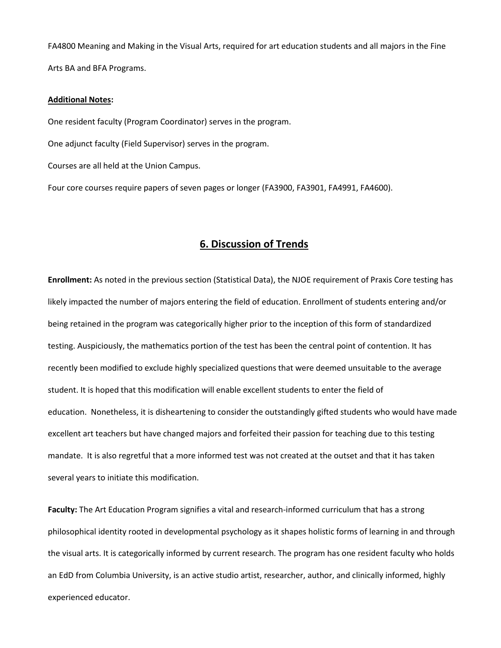FA4800 Meaning and Making in the Visual Arts, required for art education students and all majors in the Fine Arts BA and BFA Programs.

#### **Additional Notes:**

One resident faculty (Program Coordinator) serves in the program.

One adjunct faculty (Field Supervisor) serves in the program.

Courses are all held at the Union Campus.

Four core courses require papers of seven pages or longer (FA3900, FA3901, FA4991, FA4600).

### **6. Discussion of Trends**

**Enrollment:** As noted in the previous section (Statistical Data), the NJOE requirement of Praxis Core testing has likely impacted the number of majors entering the field of education. Enrollment of students entering and/or being retained in the program was categorically higher prior to the inception of this form of standardized testing. Auspiciously, the mathematics portion of the test has been the central point of contention. It has recently been modified to exclude highly specialized questions that were deemed unsuitable to the average student. It is hoped that this modification will enable excellent students to enter the field of education. Nonetheless, it is disheartening to consider the outstandingly gifted students who would have made excellent art teachers but have changed majors and forfeited their passion for teaching due to this testing mandate. It is also regretful that a more informed test was not created at the outset and that it has taken several years to initiate this modification.

**Faculty:** The Art Education Program signifies a vital and research-informed curriculum that has a strong philosophical identity rooted in developmental psychology as it shapes holistic forms of learning in and through the visual arts. It is categorically informed by current research. The program has one resident faculty who holds an EdD from Columbia University, is an active studio artist, researcher, author, and clinically informed, highly experienced educator.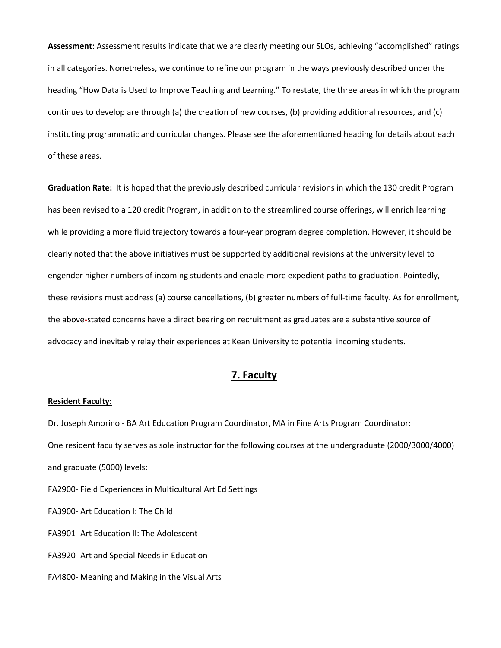**Assessment:** Assessment results indicate that we are clearly meeting our SLOs, achieving "accomplished" ratings in all categories. Nonetheless, we continue to refine our program in the ways previously described under the heading "How Data is Used to Improve Teaching and Learning." To restate, the three areas in which the program continues to develop are through (a) the creation of new courses, (b) providing additional resources, and (c) instituting programmatic and curricular changes. Please see the aforementioned heading for details about each of these areas.

**Graduation Rate:** It is hoped that the previously described curricular revisions in which the 130 credit Program has been revised to a 120 credit Program, in addition to the streamlined course offerings, will enrich learning while providing a more fluid trajectory towards a four-year program degree completion. However, it should be clearly noted that the above initiatives must be supported by additional revisions at the university level to engender higher numbers of incoming students and enable more expedient paths to graduation. Pointedly, these revisions must address (a) course cancellations, (b) greater numbers of full-time faculty. As for enrollment, the above**-**stated concerns have a direct bearing on recruitment as graduates are a substantive source of advocacy and inevitably relay their experiences at Kean University to potential incoming students.

### **7. Faculty**

#### **Resident Faculty:**

Dr. Joseph Amorino - BA Art Education Program Coordinator, MA in Fine Arts Program Coordinator: One resident faculty serves as sole instructor for the following courses at the undergraduate (2000/3000/4000) and graduate (5000) levels:

FA2900- Field Experiences in Multicultural Art Ed Settings

FA3900- Art Education I: The Child

FA3901- Art Education II: The Adolescent

FA3920- Art and Special Needs in Education

FA4800- Meaning and Making in the Visual Arts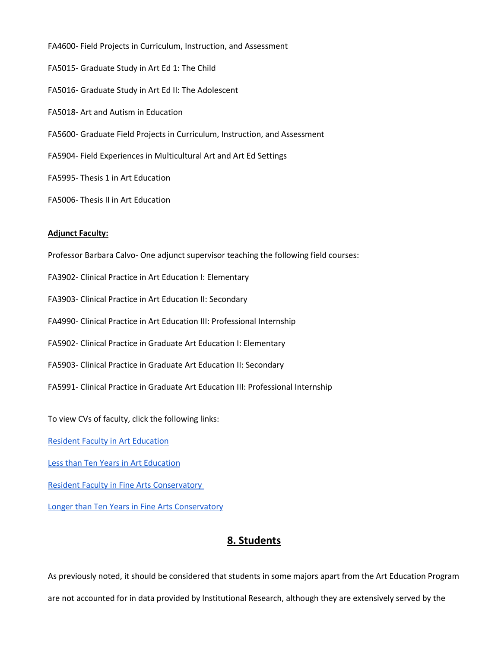FA4600- Field Projects in Curriculum, Instruction, and Assessment FA5015- Graduate Study in Art Ed 1: The Child FA5016- Graduate Study in Art Ed II: The Adolescent FA5018- Art and Autism in Education FA5600- Graduate Field Projects in Curriculum, Instruction, and Assessment FA5904- Field Experiences in Multicultural Art and Art Ed Settings FA5995- Thesis 1 in Art Education

FA5006- Thesis II in Art Education

#### **Adjunct Faculty:**

Professor Barbara Calvo- One adjunct supervisor teaching the following field courses:

- FA3902- Clinical Practice in Art Education I: Elementary
- FA3903- Clinical Practice in Art Education II: Secondary
- FA4990- Clinical Practice in Art Education III: Professional Internship
- FA5902- Clinical Practice in Graduate Art Education I: Elementary
- FA5903- Clinical Practice in Graduate Art Education II: Secondary
- FA5991- Clinical Practice in Graduate Art Education III: Professional Internship

To view CVs of faculty, click the following links:

[Resident Faculty in Art Education](https://drive.google.com/file/d/1fGrEYBIsUYyL52GMxdxGX4UYLKeacin-/view?usp=sharing)

Less than [Ten Years in Art Education](https://drive.google.com/file/d/1xAUZ5ICogC5-QH036T99XvrILASpqNM1/view?usp=sharing)

[Resident Faculty in Fine Arts Conservatory](https://drive.google.com/drive/folders/1iyFAFz_7-0WLzLo4ux6Y41rGLFZb8UUb?usp=sharing)

[Longer than Ten Years in Fine Arts Conservatory](https://drive.google.com/drive/folders/1uM1TtuOyNtYNqqtDHZhvmE9gXBxZB1p9?usp=sharing)

### **8. Students**

As previously noted, it should be considered that students in some majors apart from the Art Education Program are not accounted for in data provided by Institutional Research, although they are extensively served by the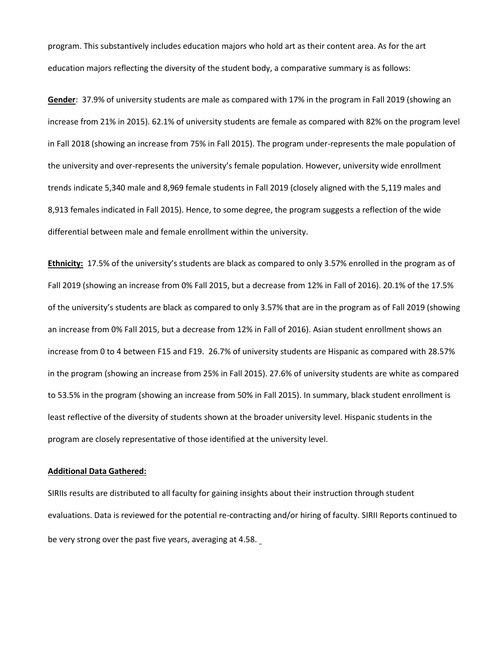program. This substantively includes education majors who hold art as their content area. As for the art education majors reflecting the diversity of the student body, a comparative summary is as follows:

**Gender**: 37.9% of university students are male as compared with 17% in the program in Fall 2019 (showing an increase from 21% in 2015). 62.1% of university students are female as compared with 82% on the program level in Fall 2018 (showing an increase from 75% in Fall 2015). The program under-represents the male population of the university and over-represents the university's female population. However, university wide enrollment trends indicate 5,340 male and 8,969 female students in Fall 2019 (closely aligned with the 5,119 males and 8,913 females indicated in Fall 2015). Hence, to some degree, the program suggests a reflection of the wide differential between male and female enrollment within the university.

**Ethnicity:** 17.5% of the university's students are black as compared to only 3.57% enrolled in the program as of Fall 2019 (showing an increase from 0% Fall 2015, but a decrease from 12% in Fall of 2016). 20.1% of the 17.5% of the university's students are black as compared to only 3.57% that are in the program as of Fall 2019 (showing an increase from 0% Fall 2015, but a decrease from 12% in Fall of 2016). Asian student enrollment shows an increase from 0 to 4 between F15 and F19. 26.7% of university students are Hispanic as compared with 28.57% in the program (showing an increase from 25% in Fall 2015). 27.6% of university students are white as compared to 53.5% in the program (showing an increase from 50% in Fall 2015). In summary, black student enrollment is least reflective of the diversity of students shown at the broader university level. Hispanic students in the program are closely representative of those identified at the university level.

#### **Additional Data Gathered:**

SIRIIs results are distributed to all faculty for gaining insights about their instruction through student evaluations. Data is reviewed for the potential re-contracting and/or hiring of faculty. SIRII Reports continued to be very strong over the past five years, averaging at 4.58.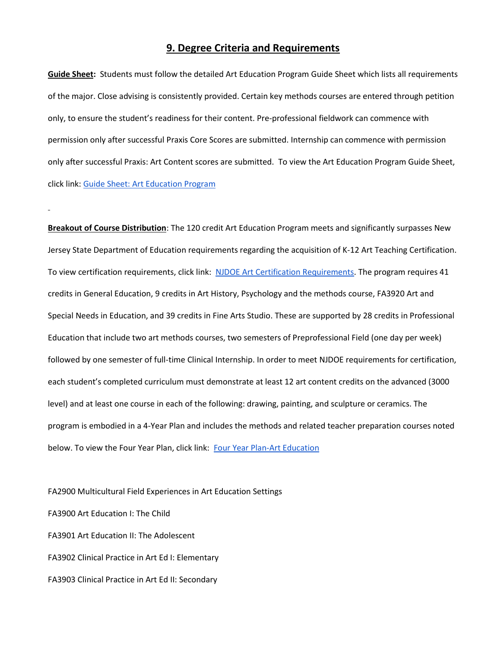### **9. Degree Criteria and Requirements**

**Guide Sheet:** Students must follow the detailed Art Education Program Guide Sheet which lists all requirements of the major. Close advising is consistently provided. Certain key methods courses are entered through petition only, to ensure the student's readiness for their content. Pre-professional fieldwork can commence with permission only after successful Praxis Core Scores are submitted. Internship can commence with permission only after successful Praxis: Art Content scores are submitted. To view the Art Education Program Guide Sheet, click link: Guide [Sheet: Art Education Program](https://drive.google.com/file/d/1B5YMdJ2gIZETjDiSrFATw7CDt99PbmyP/view?usp=sharing)

**Breakout of Course Distribution**: The 120 credit Art Education Program meets and significantly surpasses New Jersey State Department of Education requirements regarding the acquisition of K-12 Art Teaching Certification. To view certification requirements, click link: [NJDOE Art Certification Requirements.](https://drive.google.com/file/d/1Q0vq5mD9PQeGY791dJ20kP8DusfvkeLm/view?usp=sharing) The program requires 41 credits in General Education, 9 credits in Art History, Psychology and the methods course, FA3920 Art and Special Needs in Education, and 39 credits in Fine Arts Studio. These are supported by 28 credits in Professional Education that include two art methods courses, two semesters of Preprofessional Field (one day per week) followed by one semester of full-time Clinical Internship. In order to meet NJDOE requirements for certification, each student's completed curriculum must demonstrate at least 12 art content credits on the advanced (3000 level) and at least one course in each of the following: drawing, painting, and sculpture or ceramics. The program is embodied in a 4-Year Plan and includes the methods and related teacher preparation courses noted below. To view the Four Year Plan, click link: [Four Year Plan-Art Education](https://drive.google.com/file/d/1X3ryke1XxZoVdS4J-w1zrdvdRUUEVZSJ/view?usp=sharing)

FA2900 Multicultural Field Experiences in Art Education Settings FA3900 Art Education I: The Child FA3901 Art Education II: The Adolescent FA3902 Clinical Practice in Art Ed I: Elementary FA3903 Clinical Practice in Art Ed II: Secondary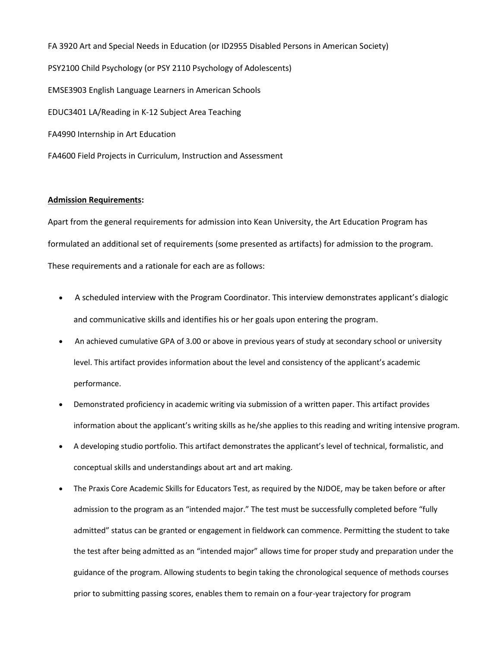FA 3920 Art and Special Needs in Education (or ID2955 Disabled Persons in American Society) PSY2100 Child Psychology (or PSY 2110 Psychology of Adolescents) EMSE3903 English Language Learners in American Schools EDUC3401 LA/Reading in K-12 Subject Area Teaching FA4990 Internship in Art Education FA4600 Field Projects in Curriculum, Instruction and Assessment

#### **Admission Requirements:**

Apart from the general requirements for admission into Kean University, the Art Education Program has formulated an additional set of requirements (some presented as artifacts) for admission to the program. These requirements and a rationale for each are as follows:

- A scheduled interview with the Program Coordinator. This interview demonstrates applicant's dialogic and communicative skills and identifies his or her goals upon entering the program.
- An achieved cumulative GPA of 3.00 or above in previous years of study at secondary school or university level. This artifact provides information about the level and consistency of the applicant's academic performance.
- Demonstrated proficiency in academic writing via submission of a written paper. This artifact provides information about the applicant's writing skills as he/she applies to this reading and writing intensive program.
- A developing studio portfolio. This artifact demonstrates the applicant's level of technical, formalistic, and conceptual skills and understandings about art and art making.
- The Praxis Core Academic Skills for Educators Test, as required by the NJDOE, may be taken before or after admission to the program as an "intended major." The test must be successfully completed before "fully admitted" status can be granted or engagement in fieldwork can commence. Permitting the student to take the test after being admitted as an "intended major" allows time for proper study and preparation under the guidance of the program. Allowing students to begin taking the chronological sequence of methods courses prior to submitting passing scores, enables them to remain on a four-year trajectory for program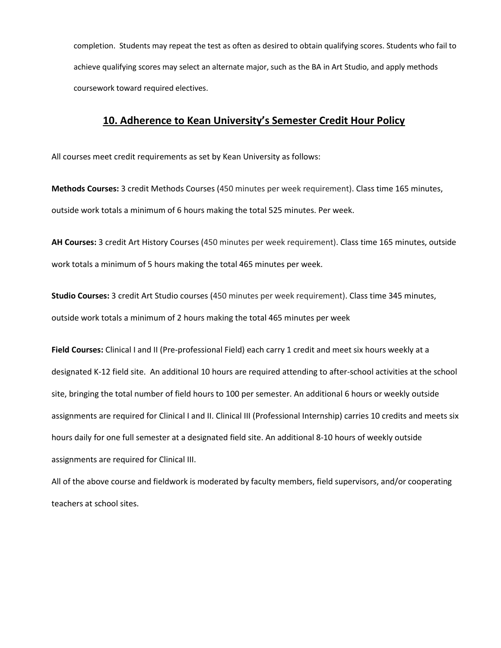completion. Students may repeat the test as often as desired to obtain qualifying scores. Students who fail to achieve qualifying scores may select an alternate major, such as the BA in Art Studio, and apply methods coursework toward required electives.

# **10. Adherence to Kean University's Semester Credit Hour Policy**

All courses meet credit requirements as set by Kean University as follows:

**Methods Courses:** 3 credit Methods Courses (450 minutes per week requirement). Class time 165 minutes, outside work totals a minimum of 6 hours making the total 525 minutes. Per week.

**AH Courses:** 3 credit Art History Courses (450 minutes per week requirement). Class time 165 minutes, outside work totals a minimum of 5 hours making the total 465 minutes per week.

**Studio Courses:** 3 credit Art Studio courses (450 minutes per week requirement). Class time 345 minutes, outside work totals a minimum of 2 hours making the total 465 minutes per week

**Field Courses:** Clinical I and II (Pre-professional Field) each carry 1 credit and meet six hours weekly at a designated K-12 field site. An additional 10 hours are required attending to after-school activities at the school site, bringing the total number of field hours to 100 per semester. An additional 6 hours or weekly outside assignments are required for Clinical I and II. Clinical III (Professional Internship) carries 10 credits and meets six hours daily for one full semester at a designated field site. An additional 8-10 hours of weekly outside assignments are required for Clinical III.

All of the above course and fieldwork is moderated by faculty members, field supervisors, and/or cooperating teachers at school sites.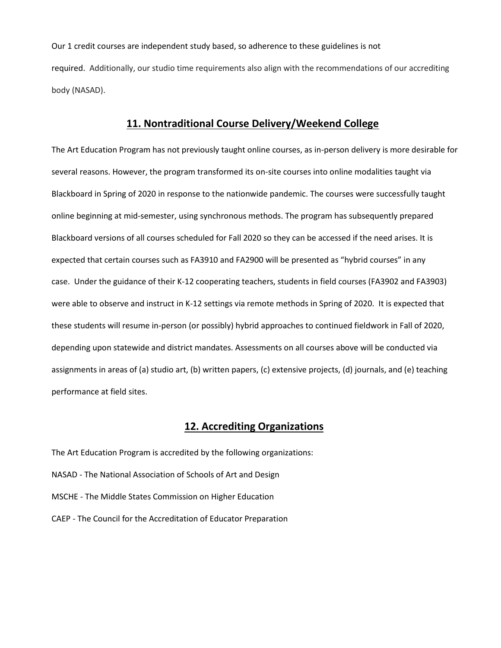Our 1 credit courses are independent study based, so adherence to these guidelines is not required. Additionally, our studio time requirements also align with the recommendations of our accrediting body (NASAD).

### **11. Nontraditional Course Delivery/Weekend College**

The Art Education Program has not previously taught online courses, as in-person delivery is more desirable for several reasons. However, the program transformed its on-site courses into online modalities taught via Blackboard in Spring of 2020 in response to the nationwide pandemic. The courses were successfully taught online beginning at mid-semester, using synchronous methods. The program has subsequently prepared Blackboard versions of all courses scheduled for Fall 2020 so they can be accessed if the need arises. It is expected that certain courses such as FA3910 and FA2900 will be presented as "hybrid courses" in any case. Under the guidance of their K-12 cooperating teachers, students in field courses (FA3902 and FA3903) were able to observe and instruct in K-12 settings via remote methods in Spring of 2020. It is expected that these students will resume in-person (or possibly) hybrid approaches to continued fieldwork in Fall of 2020, depending upon statewide and district mandates. Assessments on all courses above will be conducted via assignments in areas of (a) studio art, (b) written papers, (c) extensive projects, (d) journals, and (e) teaching performance at field sites.

### **12. Accrediting Organizations**

The Art Education Program is accredited by the following organizations: NASAD - The National Association of Schools of Art and Design MSCHE - The Middle States Commission on Higher Education CAEP - The Council for the Accreditation of Educator Preparation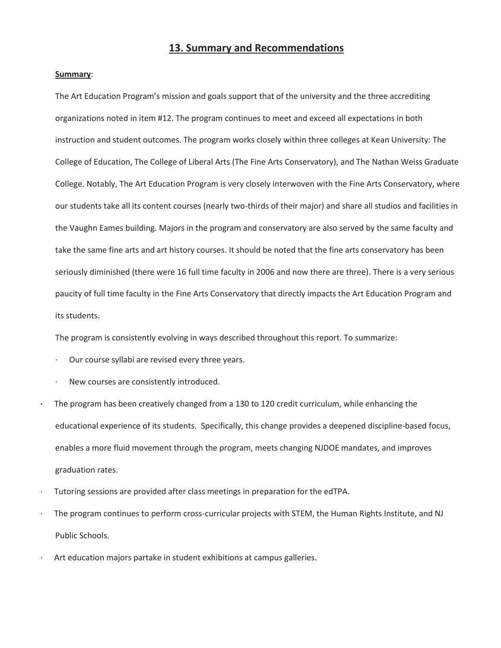### **13. Summary and Recommendations**

#### **Summary**:

The Art Education Program's mission and goals support that of the university and the three accrediting organizations noted in item #12. The program continues to meet and exceed all expectations in both instruction and student outcomes. The program works closely within three colleges at Kean University: The College of Education, The College of Liberal Arts (The Fine Arts Conservatory), and The Nathan Weiss Graduate College. Notably, The Art Education Program is very closely interwoven with the Fine Arts Conservatory, where our students take all its content courses (nearly two-thirds of their major) and share all studios and facilities in the Vaughn Eames building. Majors in the program and conservatory are also served by the same faculty and take the same fine arts and art history courses. It should be noted that the fine arts conservatory has been seriously diminished (there were 16 full time faculty in 2006 and now there are three). There is a very serious paucity of full time faculty in the Fine Arts Conservatory that directly impacts the Art Education Program and its students.

The program is consistently evolving in ways described throughout this report. To summarize:

- Our course syllabi are revised every three years.
- New courses are consistently introduced.
- **·** The program has been creatively changed from a 130 to 120 credit curriculum, while enhancing the educational experience of its students. Specifically, this change provides a deepened discipline-based focus, enables a more fluid movement through the program, meets changing NJDOE mandates, and improves graduation rates.
- · Tutoring sessions are provided after class meetings in preparation for the edTPA.
- The program continues to perform cross-curricular projects with STEM, the Human Rights Institute, and NJ Public Schools.
- Art education majors partake in student exhibitions at campus galleries.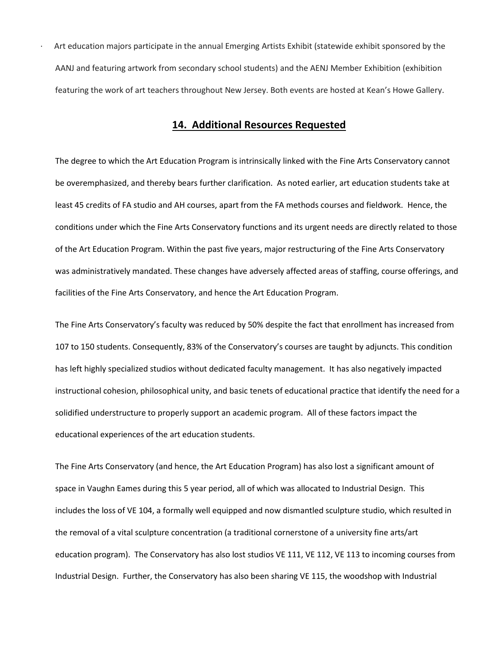· Art education majors participate in the annual Emerging Artists Exhibit (statewide exhibit sponsored by the AANJ and featuring artwork from secondary school students) and the AENJ Member Exhibition (exhibition featuring the work of art teachers throughout New Jersey. Both events are hosted at Kean's Howe Gallery.

### **14. Additional Resources Requested**

The degree to which the Art Education Program is intrinsically linked with the Fine Arts Conservatory cannot be overemphasized, and thereby bears further clarification. As noted earlier, art education students take at least 45 credits of FA studio and AH courses, apart from the FA methods courses and fieldwork. Hence, the conditions under which the Fine Arts Conservatory functions and its urgent needs are directly related to those of the Art Education Program. Within the past five years, major restructuring of the Fine Arts Conservatory was administratively mandated. These changes have adversely affected areas of staffing, course offerings, and facilities of the Fine Arts Conservatory, and hence the Art Education Program.

The Fine Arts Conservatory's faculty was reduced by 50% despite the fact that enrollment has increased from 107 to 150 students. Consequently, 83% of the Conservatory's courses are taught by adjuncts. This condition has left highly specialized studios without dedicated faculty management. It has also negatively impacted instructional cohesion, philosophical unity, and basic tenets of educational practice that identify the need for a solidified understructure to properly support an academic program. All of these factors impact the educational experiences of the art education students.

The Fine Arts Conservatory (and hence, the Art Education Program) has also lost a significant amount of space in Vaughn Eames during this 5 year period, all of which was allocated to Industrial Design. This includes the loss of VE 104, a formally well equipped and now dismantled sculpture studio, which resulted in the removal of a vital sculpture concentration (a traditional cornerstone of a university fine arts/art education program). The Conservatory has also lost studios VE 111, VE 112, VE 113 to incoming courses from Industrial Design. Further, the Conservatory has also been sharing VE 115, the woodshop with Industrial